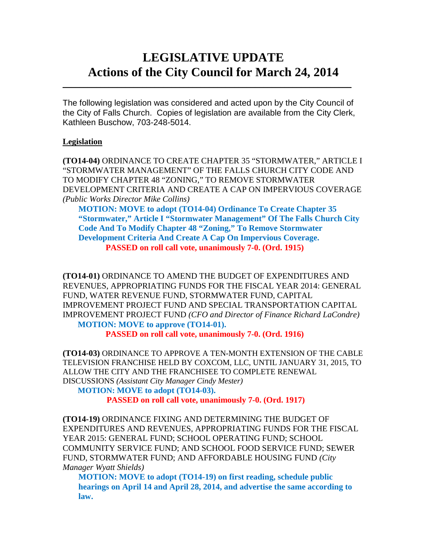# **LEGISLATIVE UPDATE Actions of the City Council for March 24, 2014**

The following legislation was considered and acted upon by the City Council of the City of Falls Church. Copies of legislation are available from the City Clerk, Kathleen Buschow, 703-248-5014.

 $\mathcal{L}_\text{max}$  and  $\mathcal{L}_\text{max}$  and  $\mathcal{L}_\text{max}$  and  $\mathcal{L}_\text{max}$  and  $\mathcal{L}_\text{max}$  and  $\mathcal{L}_\text{max}$ 

## **Legislation**

**(TO14-04)** ORDINANCE TO CREATE CHAPTER 35 "STORMWATER," ARTICLE I "STORMWATER MANAGEMENT" OF THE FALLS CHURCH CITY CODE AND TO MODIFY CHAPTER 48 "ZONING," TO REMOVE STORMWATER DEVELOPMENT CRITERIA AND CREATE A CAP ON IMPERVIOUS COVERAGE *(Public Works Director Mike Collins)*

**MOTION: MOVE to adopt (TO14-04) Ordinance To Create Chapter 35 "Stormwater," Article I "Stormwater Management" Of The Falls Church City Code And To Modify Chapter 48 "Zoning," To Remove Stormwater Development Criteria And Create A Cap On Impervious Coverage. PASSED on roll call vote, unanimously 7-0. (Ord. 1915)**

**(TO14-01)** ORDINANCE TO AMEND THE BUDGET OF EXPENDITURES AND REVENUES, APPROPRIATING FUNDS FOR THE FISCAL YEAR 2014: GENERAL FUND, WATER REVENUE FUND, STORMWATER FUND, CAPITAL IMPROVEMENT PROJECT FUND AND SPECIAL TRANSPORTATION CAPITAL IMPROVEMENT PROJECT FUND *(CFO and Director of Finance Richard LaCondre)* **MOTION: MOVE to approve (TO14-01).**

**PASSED on roll call vote, unanimously 7-0. (Ord. 1916)**

**(TO14-03)** ORDINANCE TO APPROVE A TEN-MONTH EXTENSION OF THE CABLE TELEVISION FRANCHISE HELD BY COXCOM, LLC, UNTIL JANUARY 31, 2015, TO ALLOW THE CITY AND THE FRANCHISEE TO COMPLETE RENEWAL DISCUSSIONS *(Assistant City Manager Cindy Mester)*

**MOTION: MOVE to adopt (TO14-03).**

**PASSED on roll call vote, unanimously 7-0. (Ord. 1917)**

**(TO14-19)** ORDINANCE FIXING AND DETERMINING THE BUDGET OF EXPENDITURES AND REVENUES, APPROPRIATING FUNDS FOR THE FISCAL YEAR 2015: GENERAL FUND; SCHOOL OPERATING FUND; SCHOOL COMMUNITY SERVICE FUND; AND SCHOOL FOOD SERVICE FUND; SEWER FUND, STORMWATER FUND; AND AFFORDABLE HOUSING FUND *(City Manager Wyatt Shields)*

**MOTION: MOVE to adopt (TO14-19) on first reading, schedule public hearings on April 14 and April 28, 2014, and advertise the same according to law.**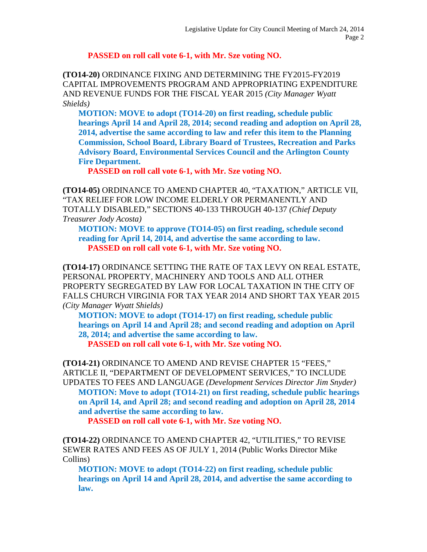## **PASSED on roll call vote 6-1, with Mr. Sze voting NO.**

**(TO14-20)** ORDINANCE FIXING AND DETERMINING THE FY2015-FY2019 CAPITAL IMPROVEMENTS PROGRAM AND APPROPRIATING EXPENDITURE AND REVENUE FUNDS FOR THE FISCAL YEAR 2015 *(City Manager Wyatt Shields)*

**MOTION: MOVE to adopt (TO14-20) on first reading, schedule public hearings April 14 and April 28, 2014; second reading and adoption on April 28, 2014, advertise the same according to law and refer this item to the Planning Commission, School Board, Library Board of Trustees, Recreation and Parks Advisory Board, Environmental Services Council and the Arlington County Fire Department.**

**PASSED on roll call vote 6-1, with Mr. Sze voting NO.**

**(TO14-05)** ORDINANCE TO AMEND CHAPTER 40, "TAXATION," ARTICLE VII, "TAX RELIEF FOR LOW INCOME ELDERLY OR PERMANENTLY AND TOTALLY DISABLED," SECTIONS 40-133 THROUGH 40-137 *(Chief Deputy Treasurer Jody Acosta)*

**MOTION: MOVE to approve (TO14-05) on first reading, schedule second reading for April 14, 2014, and advertise the same according to law. PASSED on roll call vote 6-1, with Mr. Sze voting NO.**

**(TO14-17)** ORDINANCE SETTING THE RATE OF TAX LEVY ON REAL ESTATE, PERSONAL PROPERTY, MACHINERY AND TOOLS AND ALL OTHER PROPERTY SEGREGATED BY LAW FOR LOCAL TAXATION IN THE CITY OF FALLS CHURCH VIRGINIA FOR TAX YEAR 2014 AND SHORT TAX YEAR 2015 *(City Manager Wyatt Shields)*

**MOTION: MOVE to adopt (TO14-17) on first reading, schedule public hearings on April 14 and April 28; and second reading and adoption on April 28, 2014; and advertise the same according to law.**

**PASSED on roll call vote 6-1, with Mr. Sze voting NO.**

**(TO14-21)** ORDINANCE TO AMEND AND REVISE CHAPTER 15 "FEES," ARTICLE II, "DEPARTMENT OF DEVELOPMENT SERVICES," TO INCLUDE UPDATES TO FEES AND LANGUAGE *(Development Services Director Jim Snyder)* **MOTION: Move to adopt (TO14-21) on first reading, schedule public hearings on April 14, and April 28; and second reading and adoption on April 28, 2014 and advertise the same according to law.**

**PASSED on roll call vote 6-1, with Mr. Sze voting NO.**

**(TO14-22)** ORDINANCE TO AMEND CHAPTER 42, "UTILITIES," TO REVISE SEWER RATES AND FEES AS OF JULY 1, 2014 (Public Works Director Mike Collins)

**MOTION: MOVE to adopt (TO14-22) on first reading, schedule public hearings on April 14 and April 28, 2014, and advertise the same according to law.**